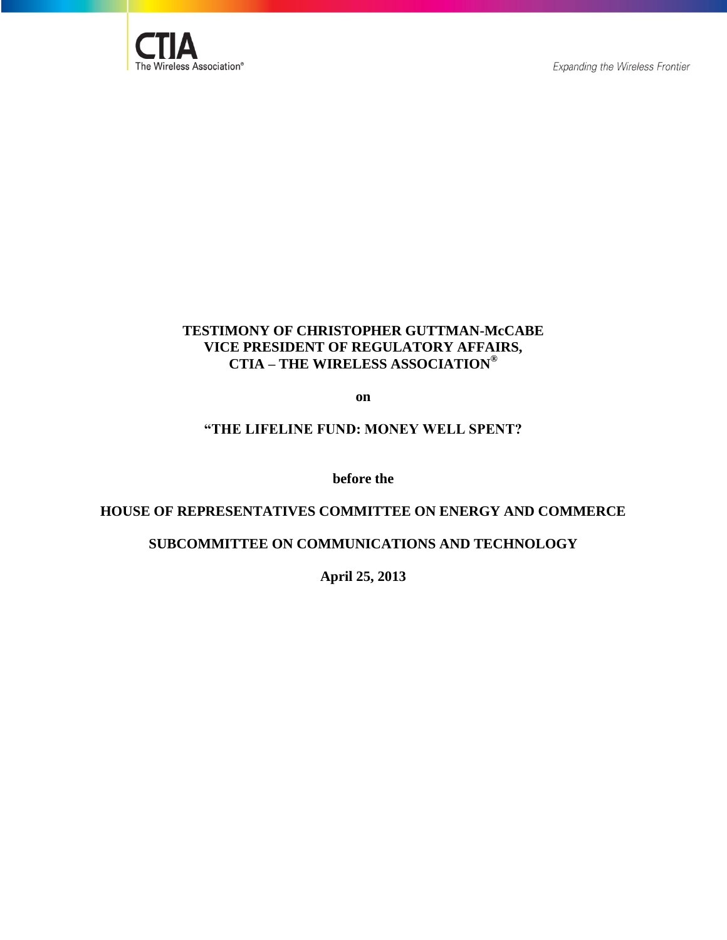

# **TESTIMONY OF CHRISTOPHER GUTTMAN-McCABE VICE PRESIDENT OF REGULATORY AFFAIRS, CTIA – THE WIRELESS ASSOCIATION®**

**on**

## **"THE LIFELINE FUND: MONEY WELL SPENT?**

**before the**

#### **HOUSE OF REPRESENTATIVES COMMITTEE ON ENERGY AND COMMERCE**

# **SUBCOMMITTEE ON COMMUNICATIONS AND TECHNOLOGY**

**April 25, 2013**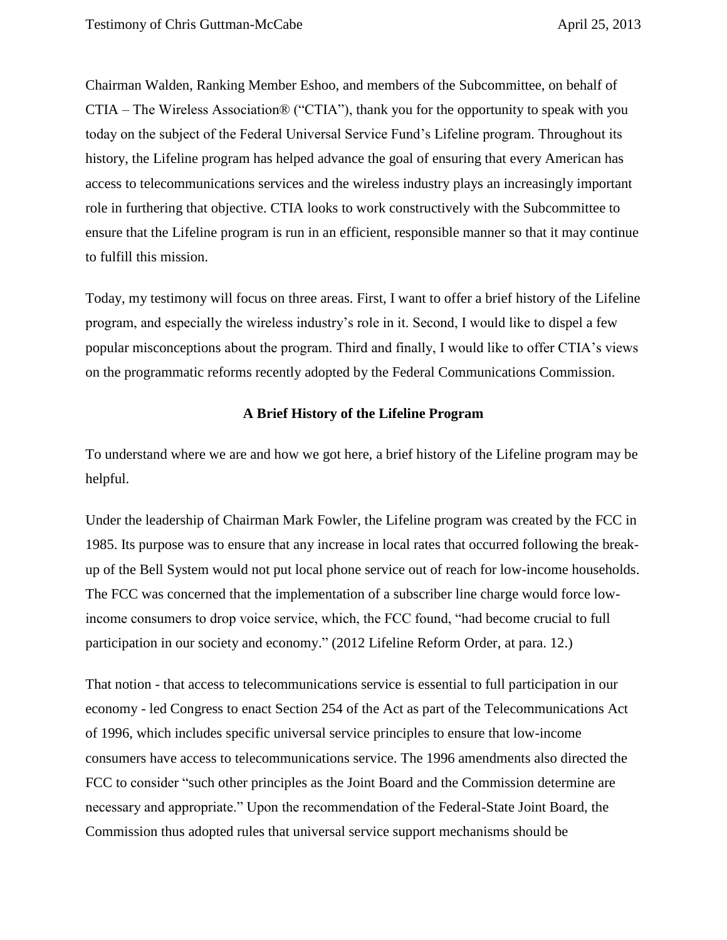Chairman Walden, Ranking Member Eshoo, and members of the Subcommittee, on behalf of CTIA – The Wireless Association® ("CTIA"), thank you for the opportunity to speak with you today on the subject of the Federal Universal Service Fund's Lifeline program. Throughout its history, the Lifeline program has helped advance the goal of ensuring that every American has access to telecommunications services and the wireless industry plays an increasingly important role in furthering that objective. CTIA looks to work constructively with the Subcommittee to ensure that the Lifeline program is run in an efficient, responsible manner so that it may continue to fulfill this mission.

Today, my testimony will focus on three areas. First, I want to offer a brief history of the Lifeline program, and especially the wireless industry's role in it. Second, I would like to dispel a few popular misconceptions about the program. Third and finally, I would like to offer CTIA's views on the programmatic reforms recently adopted by the Federal Communications Commission.

#### **A Brief History of the Lifeline Program**

To understand where we are and how we got here, a brief history of the Lifeline program may be helpful.

Under the leadership of Chairman Mark Fowler, the Lifeline program was created by the FCC in 1985. Its purpose was to ensure that any increase in local rates that occurred following the breakup of the Bell System would not put local phone service out of reach for low-income households. The FCC was concerned that the implementation of a subscriber line charge would force lowincome consumers to drop voice service, which, the FCC found, "had become crucial to full participation in our society and economy." (2012 Lifeline Reform Order, at para. 12.)

That notion - that access to telecommunications service is essential to full participation in our economy - led Congress to enact Section 254 of the Act as part of the Telecommunications Act of 1996, which includes specific universal service principles to ensure that low-income consumers have access to telecommunications service. The 1996 amendments also directed the FCC to consider "such other principles as the Joint Board and the Commission determine are necessary and appropriate." Upon the recommendation of the Federal-State Joint Board, the Commission thus adopted rules that universal service support mechanisms should be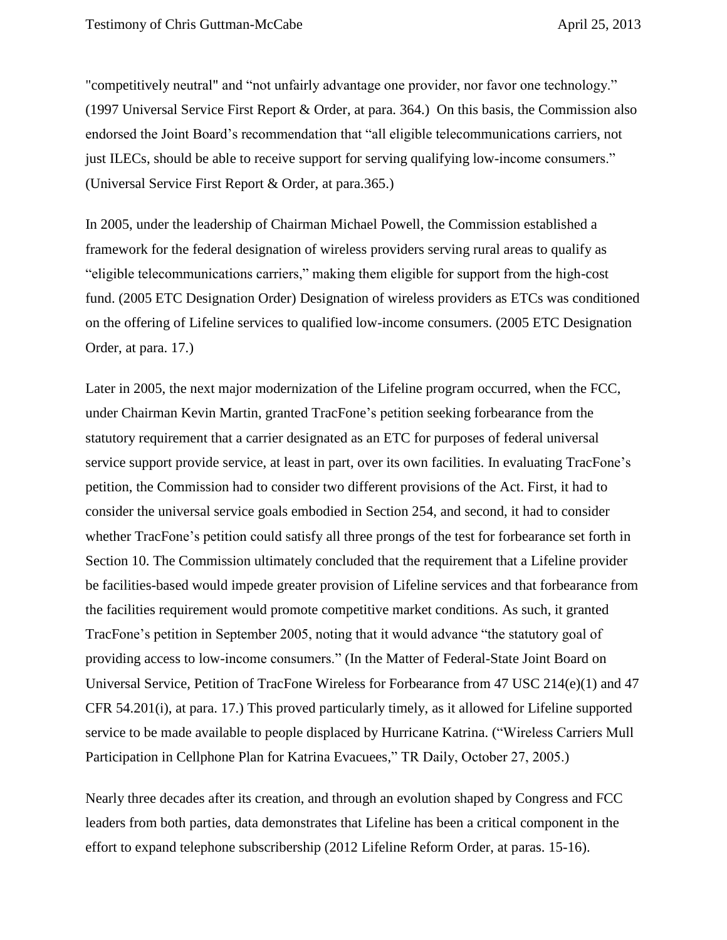"competitively neutral" and "not unfairly advantage one provider, nor favor one technology." (1997 Universal Service First Report & Order, at para. 364.) On this basis, the Commission also endorsed the Joint Board's recommendation that "all eligible telecommunications carriers, not just ILECs, should be able to receive support for serving qualifying low-income consumers." (Universal Service First Report & Order, at para.365.)

In 2005, under the leadership of Chairman Michael Powell, the Commission established a framework for the federal designation of wireless providers serving rural areas to qualify as "eligible telecommunications carriers," making them eligible for support from the high-cost fund. (2005 ETC Designation Order) Designation of wireless providers as ETCs was conditioned on the offering of Lifeline services to qualified low-income consumers. (2005 ETC Designation Order, at para. 17.)

Later in 2005, the next major modernization of the Lifeline program occurred, when the FCC, under Chairman Kevin Martin, granted TracFone's petition seeking forbearance from the statutory requirement that a carrier designated as an ETC for purposes of federal universal service support provide service, at least in part, over its own facilities. In evaluating TracFone's petition, the Commission had to consider two different provisions of the Act. First, it had to consider the universal service goals embodied in Section 254, and second, it had to consider whether TracFone's petition could satisfy all three prongs of the test for forbearance set forth in Section 10. The Commission ultimately concluded that the requirement that a Lifeline provider be facilities-based would impede greater provision of Lifeline services and that forbearance from the facilities requirement would promote competitive market conditions. As such, it granted TracFone's petition in September 2005, noting that it would advance "the statutory goal of providing access to low-income consumers." (In the Matter of Federal-State Joint Board on Universal Service, Petition of TracFone Wireless for Forbearance from 47 USC 214(e)(1) and 47 CFR 54.201(i), at para. 17.) This proved particularly timely, as it allowed for Lifeline supported service to be made available to people displaced by Hurricane Katrina. ("Wireless Carriers Mull Participation in Cellphone Plan for Katrina Evacuees," TR Daily, October 27, 2005.)

Nearly three decades after its creation, and through an evolution shaped by Congress and FCC leaders from both parties, data demonstrates that Lifeline has been a critical component in the effort to expand telephone subscribership (2012 Lifeline Reform Order, at paras. 15-16).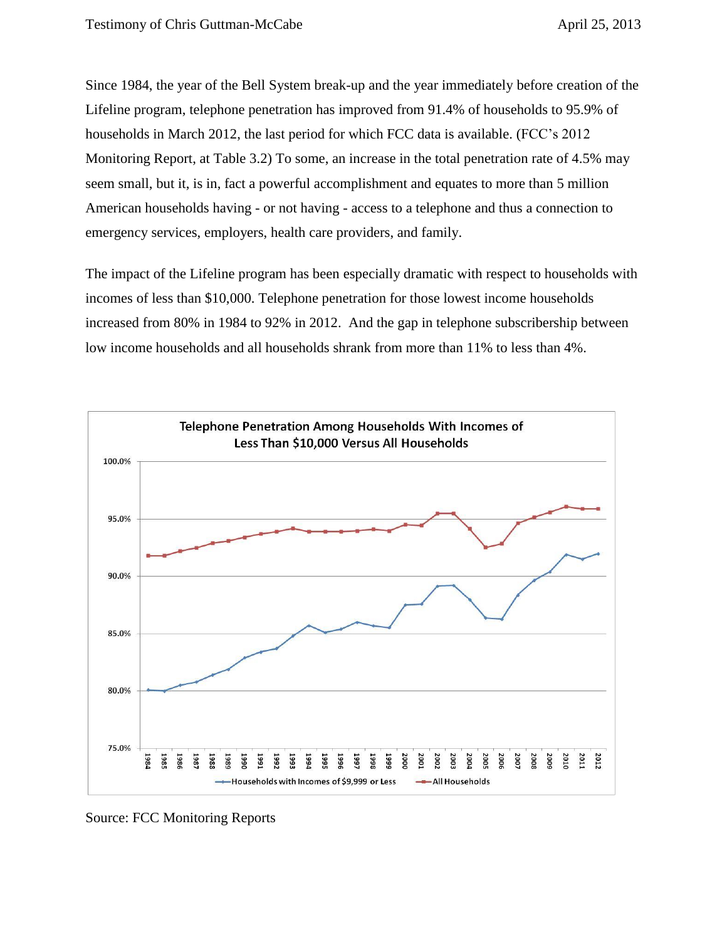Since 1984, the year of the Bell System break-up and the year immediately before creation of the Lifeline program, telephone penetration has improved from 91.4% of households to 95.9% of households in March 2012, the last period for which FCC data is available. (FCC's 2012 Monitoring Report, at Table 3.2) To some, an increase in the total penetration rate of 4.5% may seem small, but it, is in, fact a powerful accomplishment and equates to more than 5 million American households having - or not having - access to a telephone and thus a connection to emergency services, employers, health care providers, and family.

The impact of the Lifeline program has been especially dramatic with respect to households with incomes of less than \$10,000. Telephone penetration for those lowest income households increased from 80% in 1984 to 92% in 2012. And the gap in telephone subscribership between low income households and all households shrank from more than 11% to less than 4%.



Source: FCC Monitoring Reports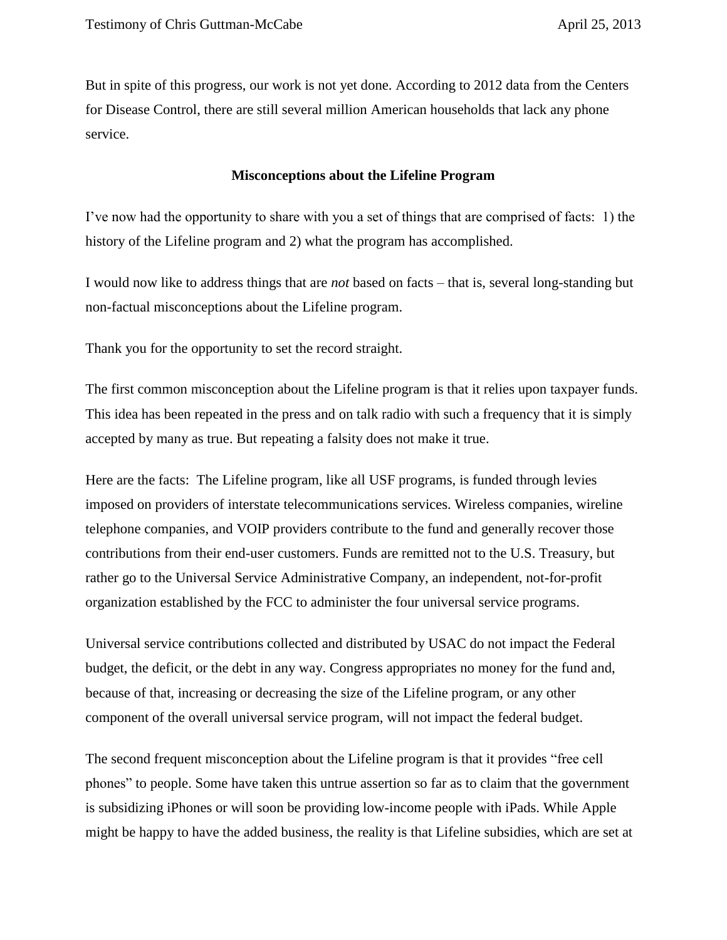But in spite of this progress, our work is not yet done. According to 2012 data from the Centers for Disease Control, there are still several million American households that lack any phone service.

#### **Misconceptions about the Lifeline Program**

I've now had the opportunity to share with you a set of things that are comprised of facts: 1) the history of the Lifeline program and 2) what the program has accomplished.

I would now like to address things that are *not* based on facts – that is, several long-standing but non-factual misconceptions about the Lifeline program.

Thank you for the opportunity to set the record straight.

The first common misconception about the Lifeline program is that it relies upon taxpayer funds. This idea has been repeated in the press and on talk radio with such a frequency that it is simply accepted by many as true. But repeating a falsity does not make it true.

Here are the facts: The Lifeline program, like all USF programs, is funded through levies imposed on providers of interstate telecommunications services. Wireless companies, wireline telephone companies, and VOIP providers contribute to the fund and generally recover those contributions from their end-user customers. Funds are remitted not to the U.S. Treasury, but rather go to the Universal Service Administrative Company, an independent, not-for-profit organization established by the FCC to administer the four universal service programs.

Universal service contributions collected and distributed by USAC do not impact the Federal budget, the deficit, or the debt in any way. Congress appropriates no money for the fund and, because of that, increasing or decreasing the size of the Lifeline program, or any other component of the overall universal service program, will not impact the federal budget.

The second frequent misconception about the Lifeline program is that it provides "free cell phones" to people. Some have taken this untrue assertion so far as to claim that the government is subsidizing iPhones or will soon be providing low-income people with iPads. While Apple might be happy to have the added business, the reality is that Lifeline subsidies, which are set at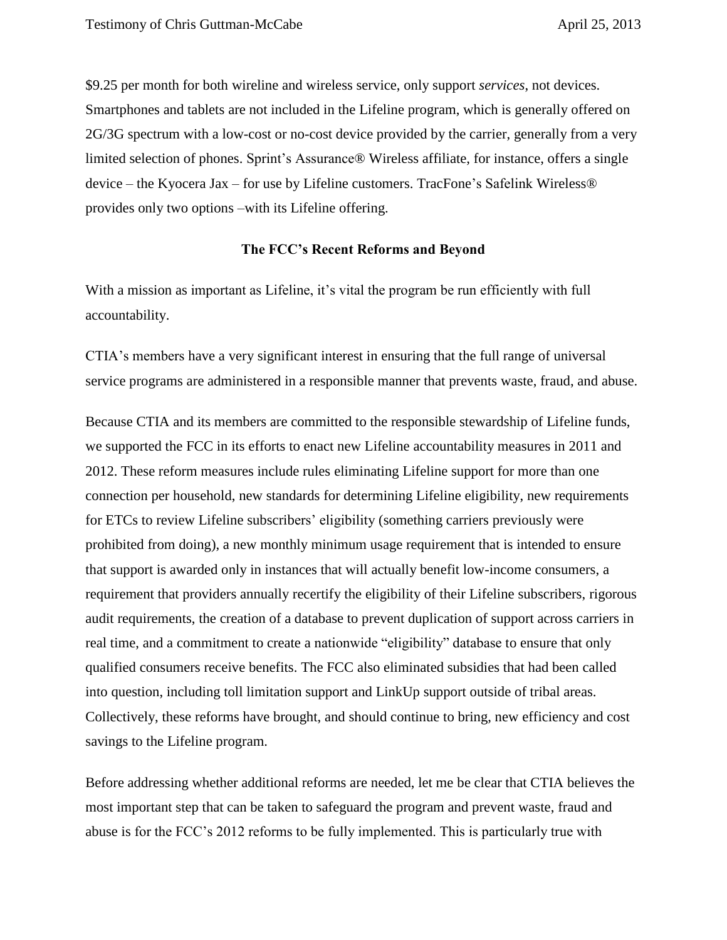\$9.25 per month for both wireline and wireless service, only support *services*, not devices. Smartphones and tablets are not included in the Lifeline program, which is generally offered on 2G/3G spectrum with a low-cost or no-cost device provided by the carrier, generally from a very limited selection of phones. Sprint's Assurance® Wireless affiliate, for instance, offers a single device – the Kyocera Jax – for use by Lifeline customers. TracFone's Safelink Wireless® provides only two options –with its Lifeline offering.

### **The FCC's Recent Reforms and Beyond**

With a mission as important as Lifeline, it's vital the program be run efficiently with full accountability.

CTIA's members have a very significant interest in ensuring that the full range of universal service programs are administered in a responsible manner that prevents waste, fraud, and abuse.

Because CTIA and its members are committed to the responsible stewardship of Lifeline funds, we supported the FCC in its efforts to enact new Lifeline accountability measures in 2011 and 2012. These reform measures include rules eliminating Lifeline support for more than one connection per household, new standards for determining Lifeline eligibility, new requirements for ETCs to review Lifeline subscribers' eligibility (something carriers previously were prohibited from doing), a new monthly minimum usage requirement that is intended to ensure that support is awarded only in instances that will actually benefit low-income consumers, a requirement that providers annually recertify the eligibility of their Lifeline subscribers, rigorous audit requirements, the creation of a database to prevent duplication of support across carriers in real time, and a commitment to create a nationwide "eligibility" database to ensure that only qualified consumers receive benefits. The FCC also eliminated subsidies that had been called into question, including toll limitation support and LinkUp support outside of tribal areas. Collectively, these reforms have brought, and should continue to bring, new efficiency and cost savings to the Lifeline program.

Before addressing whether additional reforms are needed, let me be clear that CTIA believes the most important step that can be taken to safeguard the program and prevent waste, fraud and abuse is for the FCC's 2012 reforms to be fully implemented. This is particularly true with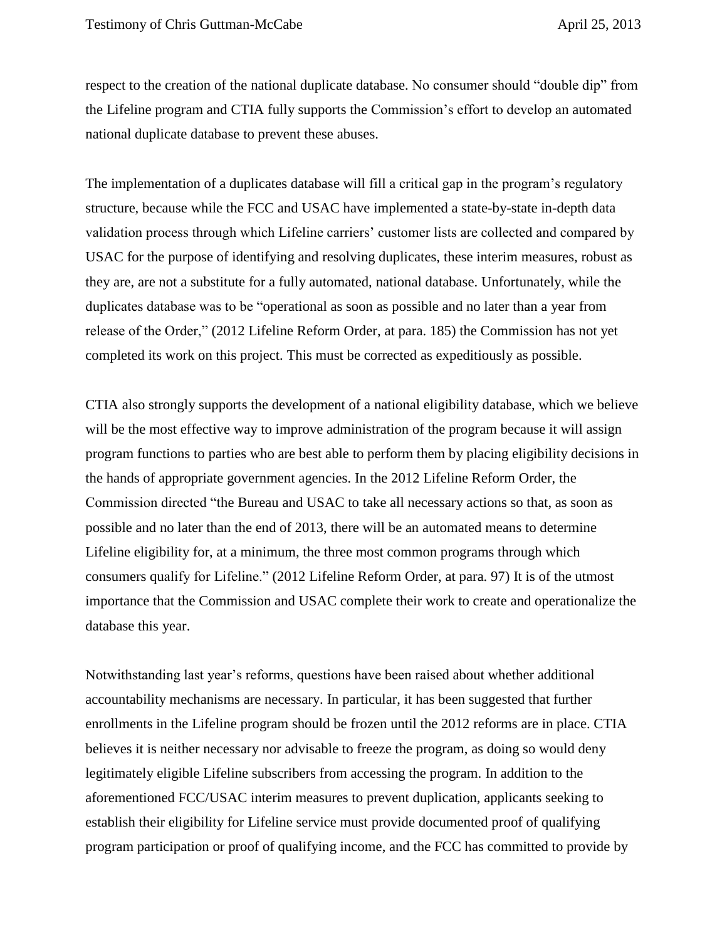respect to the creation of the national duplicate database. No consumer should "double dip" from the Lifeline program and CTIA fully supports the Commission's effort to develop an automated national duplicate database to prevent these abuses.

The implementation of a duplicates database will fill a critical gap in the program's regulatory structure, because while the FCC and USAC have implemented a state-by-state in-depth data validation process through which Lifeline carriers' customer lists are collected and compared by USAC for the purpose of identifying and resolving duplicates, these interim measures, robust as they are, are not a substitute for a fully automated, national database. Unfortunately, while the duplicates database was to be "operational as soon as possible and no later than a year from release of the Order," (2012 Lifeline Reform Order, at para. 185) the Commission has not yet completed its work on this project. This must be corrected as expeditiously as possible.

CTIA also strongly supports the development of a national eligibility database, which we believe will be the most effective way to improve administration of the program because it will assign program functions to parties who are best able to perform them by placing eligibility decisions in the hands of appropriate government agencies. In the 2012 Lifeline Reform Order, the Commission directed "the Bureau and USAC to take all necessary actions so that, as soon as possible and no later than the end of 2013, there will be an automated means to determine Lifeline eligibility for, at a minimum, the three most common programs through which consumers qualify for Lifeline." (2012 Lifeline Reform Order, at para. 97) It is of the utmost importance that the Commission and USAC complete their work to create and operationalize the database this year.

Notwithstanding last year's reforms, questions have been raised about whether additional accountability mechanisms are necessary. In particular, it has been suggested that further enrollments in the Lifeline program should be frozen until the 2012 reforms are in place. CTIA believes it is neither necessary nor advisable to freeze the program, as doing so would deny legitimately eligible Lifeline subscribers from accessing the program. In addition to the aforementioned FCC/USAC interim measures to prevent duplication, applicants seeking to establish their eligibility for Lifeline service must provide documented proof of qualifying program participation or proof of qualifying income, and the FCC has committed to provide by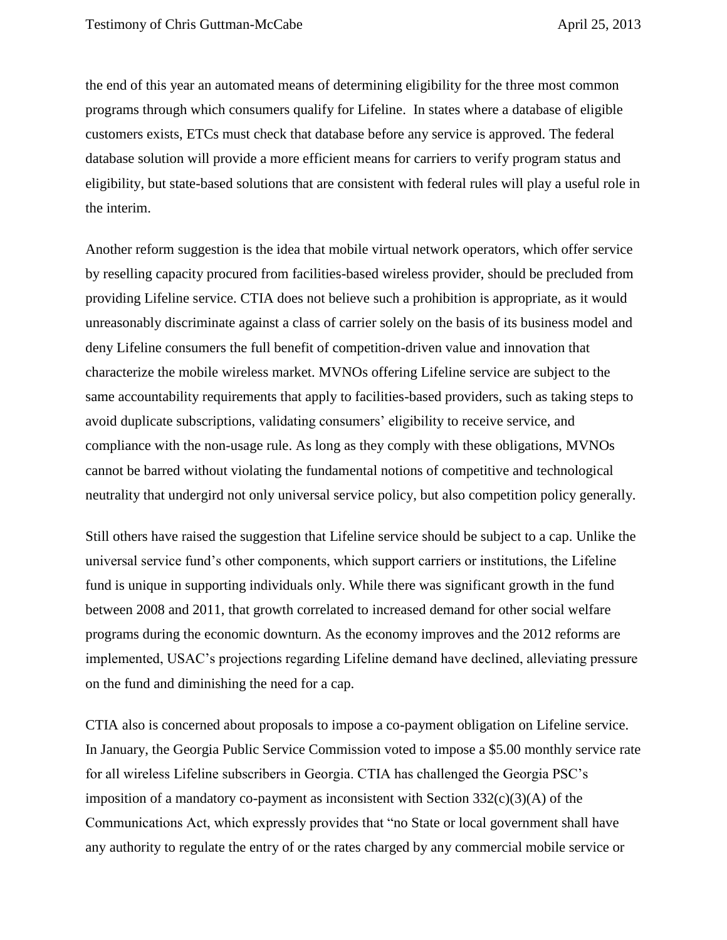the end of this year an automated means of determining eligibility for the three most common programs through which consumers qualify for Lifeline. In states where a database of eligible customers exists, ETCs must check that database before any service is approved. The federal database solution will provide a more efficient means for carriers to verify program status and eligibility, but state-based solutions that are consistent with federal rules will play a useful role in the interim.

Another reform suggestion is the idea that mobile virtual network operators, which offer service by reselling capacity procured from facilities-based wireless provider, should be precluded from providing Lifeline service. CTIA does not believe such a prohibition is appropriate, as it would unreasonably discriminate against a class of carrier solely on the basis of its business model and deny Lifeline consumers the full benefit of competition-driven value and innovation that characterize the mobile wireless market. MVNOs offering Lifeline service are subject to the same accountability requirements that apply to facilities-based providers, such as taking steps to avoid duplicate subscriptions, validating consumers' eligibility to receive service, and compliance with the non-usage rule. As long as they comply with these obligations, MVNOs cannot be barred without violating the fundamental notions of competitive and technological neutrality that undergird not only universal service policy, but also competition policy generally.

Still others have raised the suggestion that Lifeline service should be subject to a cap. Unlike the universal service fund's other components, which support carriers or institutions, the Lifeline fund is unique in supporting individuals only. While there was significant growth in the fund between 2008 and 2011, that growth correlated to increased demand for other social welfare programs during the economic downturn. As the economy improves and the 2012 reforms are implemented, USAC's projections regarding Lifeline demand have declined, alleviating pressure on the fund and diminishing the need for a cap.

CTIA also is concerned about proposals to impose a co-payment obligation on Lifeline service. In January, the Georgia Public Service Commission voted to impose a \$5.00 monthly service rate for all wireless Lifeline subscribers in Georgia. CTIA has challenged the Georgia PSC's imposition of a mandatory co-payment as inconsistent with Section  $332(c)(3)(A)$  of the Communications Act, which expressly provides that "no State or local government shall have any authority to regulate the entry of or the rates charged by any commercial mobile service or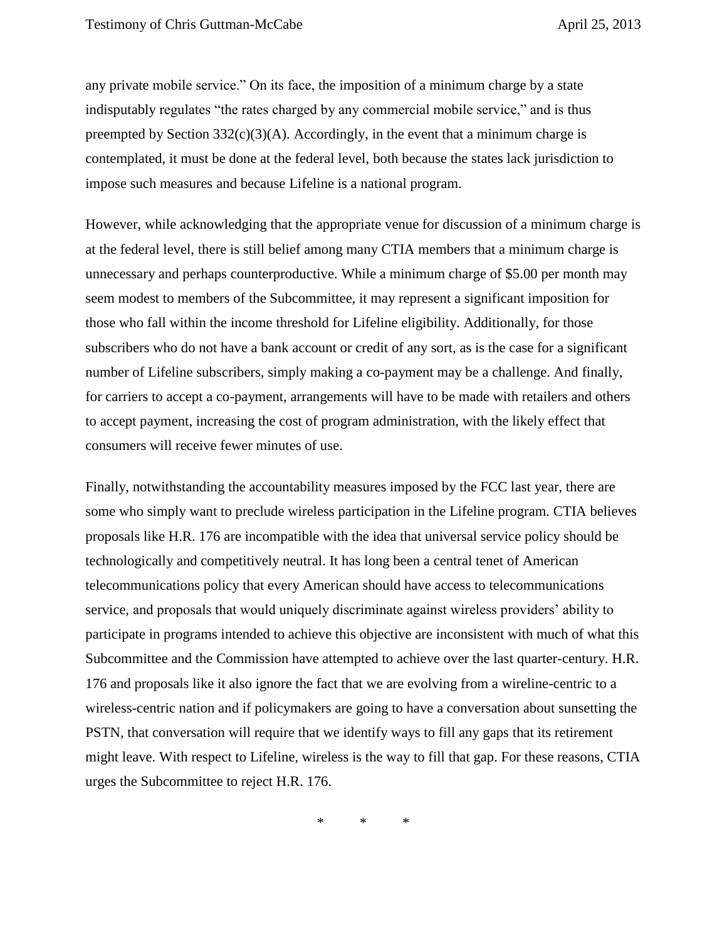any private mobile service." On its face, the imposition of a minimum charge by a state indisputably regulates "the rates charged by any commercial mobile service," and is thus preempted by Section  $332(c)(3)(A)$ . Accordingly, in the event that a minimum charge is contemplated, it must be done at the federal level, both because the states lack jurisdiction to impose such measures and because Lifeline is a national program.

However, while acknowledging that the appropriate venue for discussion of a minimum charge is at the federal level, there is still belief among many CTIA members that a minimum charge is unnecessary and perhaps counterproductive. While a minimum charge of \$5.00 per month may seem modest to members of the Subcommittee, it may represent a significant imposition for those who fall within the income threshold for Lifeline eligibility. Additionally, for those subscribers who do not have a bank account or credit of any sort, as is the case for a significant number of Lifeline subscribers, simply making a co-payment may be a challenge. And finally, for carriers to accept a co-payment, arrangements will have to be made with retailers and others to accept payment, increasing the cost of program administration, with the likely effect that consumers will receive fewer minutes of use.

Finally, notwithstanding the accountability measures imposed by the FCC last year, there are some who simply want to preclude wireless participation in the Lifeline program. CTIA believes proposals like H.R. 176 are incompatible with the idea that universal service policy should be technologically and competitively neutral. It has long been a central tenet of American telecommunications policy that every American should have access to telecommunications service, and proposals that would uniquely discriminate against wireless providers' ability to participate in programs intended to achieve this objective are inconsistent with much of what this Subcommittee and the Commission have attempted to achieve over the last quarter-century. H.R. 176 and proposals like it also ignore the fact that we are evolving from a wireline-centric to a wireless-centric nation and if policymakers are going to have a conversation about sunsetting the PSTN, that conversation will require that we identify ways to fill any gaps that its retirement might leave. With respect to Lifeline, wireless is the way to fill that gap. For these reasons, CTIA urges the Subcommittee to reject H.R. 176.

\* \* \*